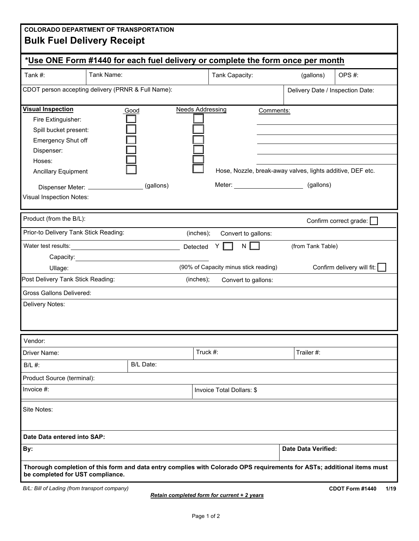| <b>COLORADO DEPARTMENT OF TRANSPORTATION</b><br><b>Bulk Fuel Delivery Receipt</b>                                                                                               |            |                   |                         |                                                                         |            |                                                                                |                            |  |  |  |
|---------------------------------------------------------------------------------------------------------------------------------------------------------------------------------|------------|-------------------|-------------------------|-------------------------------------------------------------------------|------------|--------------------------------------------------------------------------------|----------------------------|--|--|--|
| *Use ONE Form #1440 for each fuel delivery or complete the form once per month                                                                                                  |            |                   |                         |                                                                         |            |                                                                                |                            |  |  |  |
| Tank #:                                                                                                                                                                         | Tank Name: |                   |                         | Tank Capacity:                                                          |            | (gallons)                                                                      | OPS#:                      |  |  |  |
| CDOT person accepting delivery (PRNR & Full Name):                                                                                                                              |            |                   |                         | Delivery Date / Inspection Date:                                        |            |                                                                                |                            |  |  |  |
| <b>Visual Inspection</b><br>Fire Extinguisher:<br>Spill bucket present:<br>Emergency Shut off<br>Dispenser:<br>Hoses:<br><b>Ancillary Equipment</b><br>Visual Inspection Notes: |            | Good<br>(gallons) | <b>Needs Addressing</b> |                                                                         | Comments:  | Hose, Nozzle, break-away valves, lights additive, DEF etc.<br>Meter: (gallons) |                            |  |  |  |
| Product (from the B/L):                                                                                                                                                         |            |                   |                         |                                                                         |            |                                                                                | Confirm correct grade:     |  |  |  |
| Prior-to Delivery Tank Stick Reading:                                                                                                                                           |            |                   | (inches);               | Convert to gallons:                                                     |            |                                                                                |                            |  |  |  |
| Ullage:<br>Post Delivery Tank Stick Reading:<br><b>Gross Gallons Delivered:</b>                                                                                                 |            |                   | Detected<br>(inches);   | N<br>Υ[<br>(90% of Capacity minus stick reading)<br>Convert to gallons: |            | (from Tank Table)                                                              | Confirm delivery will fit: |  |  |  |
| Delivery Notes:                                                                                                                                                                 |            |                   |                         |                                                                         |            |                                                                                |                            |  |  |  |
| Vendor:                                                                                                                                                                         |            |                   |                         |                                                                         |            |                                                                                |                            |  |  |  |
| Driver Name:                                                                                                                                                                    |            |                   | Truck #:                |                                                                         | Trailer #: |                                                                                |                            |  |  |  |
| B/L #:                                                                                                                                                                          |            | B/L Date:         |                         |                                                                         |            |                                                                                |                            |  |  |  |
| Product Source (terminal):                                                                                                                                                      |            |                   |                         |                                                                         |            |                                                                                |                            |  |  |  |
| Invoice $#$ :                                                                                                                                                                   |            |                   |                         | Invoice Total Dollars: \$                                               |            |                                                                                |                            |  |  |  |
| Site Notes:                                                                                                                                                                     |            |                   |                         |                                                                         |            |                                                                                |                            |  |  |  |
| Date Data entered into SAP:                                                                                                                                                     |            |                   |                         |                                                                         |            |                                                                                |                            |  |  |  |
| By:                                                                                                                                                                             |            |                   |                         |                                                                         |            | <b>Date Data Verified:</b>                                                     |                            |  |  |  |
| Thorough completion of this form and data entry complies with Colorado OPS requirements for ASTs; additional items must<br>be completed for UST compliance.                     |            |                   |                         |                                                                         |            |                                                                                |                            |  |  |  |
| B/L: Bill of Lading (from transport company)                                                                                                                                    |            |                   |                         |                                                                         |            |                                                                                | CDOT Form #1440<br>1/19    |  |  |  |

*Retain completed form for current + 2 years*

**CDOT Form #1440 1/19**